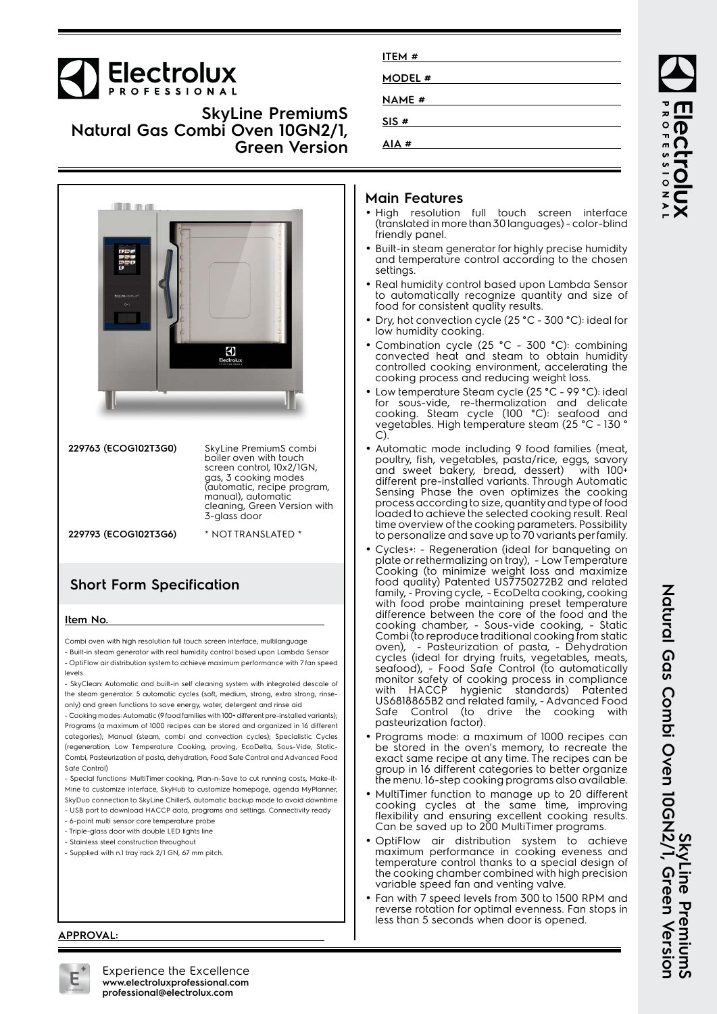

**SkyLine PremiumS Natural Gas Combi Oven 10GN2/1, Green Version**



| 229763 (ECOG102T3G0) | SkyLine PremiumS combi<br>boiler oven with touch<br>screen control, 10x2/1GN,<br>gas, 3 cooking modes<br>(automatic, recipe program,<br>manual), automatic<br>cleaning, Green Version with<br>3-glass door |
|----------------------|------------------------------------------------------------------------------------------------------------------------------------------------------------------------------------------------------------|
| 229793 (ECOG102T3G6) | * NOT TRANSLATED *                                                                                                                                                                                         |

## **Short Form Specification**

#### **Item No.**

Combi oven with high resolution full touch screen interface, multilanguage

- Built-in steam generator with real humidity control based upon Lambda Sensor - OptiFlow air distribution system to achieve maximum performance with 7 fan speed levels

- SkyClean: Automatic and built-in self cleaning system with integrated descale of the steam generator. 5 automatic cycles (soft, medium, strong, extra strong, rinseonly) and green functions to save energy, water, detergent and rinse aid

- Cooking modes: Automatic (9 food families with 100+ different pre-installed variants); Programs (a maximum of 1000 recipes can be stored and organized in 16 different categories); Manual (steam, combi and convection cycles); Specialistic Cycles (regeneration, Low Temperature Cooking, proving, EcoDelta, Sous-Vide, Static-Combi, Pasteurization of pasta, dehydration, Food Safe Control and Advanced Food Safe Control)

- Special functions: MultiTimer cooking, Plan-n-Save to cut running costs, Make-it-Mine to customize interface, SkyHub to customize homepage, agenda MyPlanner, SkyDuo connection to SkyLine ChillerS, automatic backup mode to avoid downtime

- USB port to download HACCP data, programs and settings. Connectivity ready
- 6-point multi sensor core temperature probe
- Triple-glass door with double LED lights line
- Stainless steel construction throughout

#### - Supplied with n.1 tray rack 2/1 GN, 67 mm pitch.

| ITEM #        |
|---------------|
|               |
| MODEL #       |
|               |
| <b>NAME</b> # |
|               |
| SIS#          |
|               |
| AIA#          |
|               |

#### **Main Features**

- High resolution full touch screen interface (translated in more than 30 languages) - color-blind friendly panel.
- Built-in steam generator for highly precise humidity and temperature control according to the chosen settings.
- Real humidity control based upon Lambda Sensor to automatically recognize quantity and size of food for consistent quality results.
- • Dry, hot convection cycle (25 °C - 300 °C): ideal for low humidity cooking.
- • Combination cycle (25 °C - 300 °C): combining convected heat and steam to obtain humidity controlled cooking environment, accelerating the cooking process and reducing weight loss.
- • Low temperature Steam cycle (25 °C - 99 °C): ideal for sous-vide, re-thermalization and delicate cooking. Steam cycle (100 °C): seafood and vegetables. High temperature steam (25 °C - 130 ° C).
- Automatic mode including 9 food families (meat, poultry, fish, vegetables, pasta/rice, eggs, savory and sweet bakery, bread, dessert) with 100+ different pre-installed variants. Through Automatic Sensing Phase the oven optimizes the cooking process according to size, quantity and type of food loaded to achieve the selected cooking result. Real time overview of the cooking parameters. Possibility to personalize and save up to 70 variants per family.
- • Cycles+: - Regeneration (ideal for banqueting on plate or rethermalizing on tray), - Low Temperature Cooking (to minimize weight loss and maximize food quality) Patented US7750272B2 and related family, - Proving cycle, - EcoDelta cooking, cooking with food probe maintaining preset temperature difference between the core of the food and the cooking chamber, - Sous-vide cooking, - Static Combi (to reproduce traditional cooking from static oven), - Pasteurization of pasta, - Dehydration cycles (ideal for drying fruits, vegetables, meats, seafood), - Food Safe Control (to automatically monitor safety of cooking process in compliance with HACCP hygienic standards) Patented US6818865B2 and related family, - Advanced Food Safe Control (to drive the cooking with pasteurization factor).
- • Programs mode: a maximum of 1000 recipes can be stored in the oven's memory, to recreate the exact same recipe at any time. The recipes can be group in 16 different categories to better organize the menu. 16-step cooking programs also available.
- MultiTimer function to manage up to 20 different cooking cycles at the same time, improving flexibility and ensuring excellent cooking results. Can be saved up to 200 MultiTimer programs.
- • OptiFlow air distribution system to achieve maximum performance in cooking eveness and temperature control thanks to a special design of the cooking chamber combined with high precision variable speed fan and venting valve.
- • Fan with 7 speed levels from 300 to 1500 RPM and reverse rotation for optimal evenness. Fan stops in less than 5 seconds when door is opened.

**APPROVAL:**



Experience the Excellence **www.electroluxprofessional.com professional@electrolux.com**

**ROFESSIONA PECTROIUX**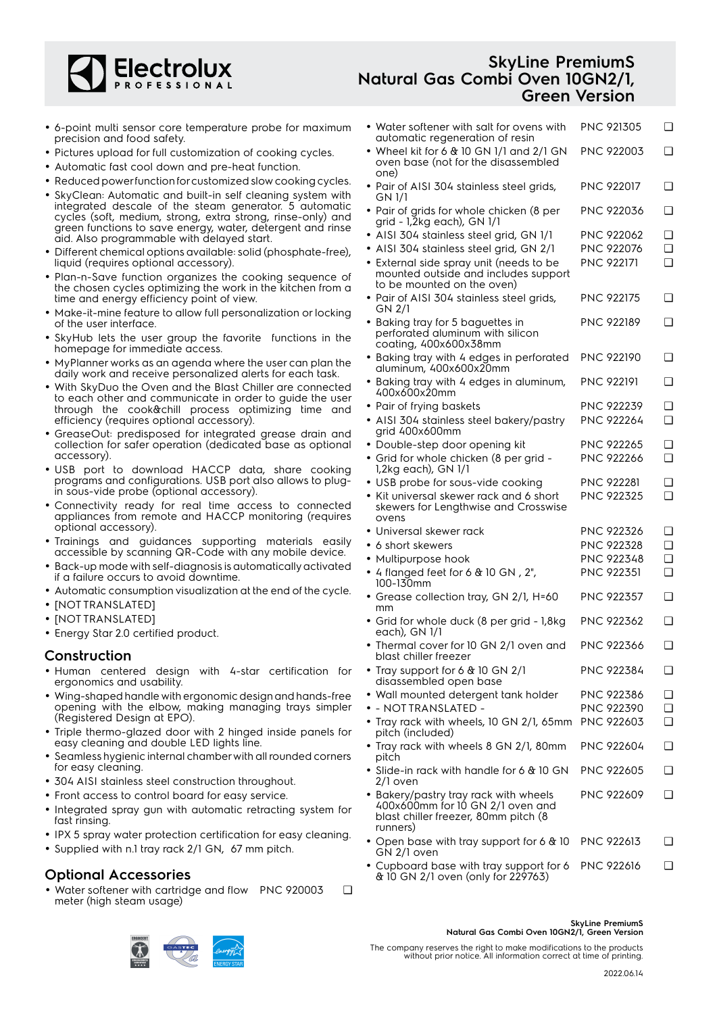

## **SkyLine PremiumS Natural Gas Combi Oven 10GN2/1, Green Version**

- 6-point multi sensor core temperature probe for maximum precision and food safety.
- Pictures upload for full customization of cooking cycles.
- Automatic fast cool down and pre-heat function.
- Reduced power function for customized slow cooking cycles.
- SkyClean: Automatic and built-in self cleaning system with integrated descale of the steam generator. 5 automatic cycles (soft, medium, strong, extra strong, rinse-only) and green functions to save energy, water, detergent and rinse aid. Also programmable with delayed start.
- Different chemical options available: solid (phosphate-free), liquid (requires optional accessory).
- Plan-n-Save function organizes the cooking sequence of the chosen cycles optimizing the work in the kitchen from a time and energy efficiency point of view.
- Make-it-mine feature to allow full personalization or locking of the user interface.
- • SkyHub lets the user group the favorite functions in the homepage for immediate access.
- MyPlanner works as an agenda where the user can plan the daily work and receive personalized alerts for each task.
- With SkyDuo the Oven and the Blast Chiller are connected to each other and communicate in order to guide the user through the cook&chill process optimizing time and efficiency (requires optional accessory).
- GreaseOut: predisposed for integrated grease drain and collection for safer operation (dedicated base as optional accessory).
- USB port to download HACCP data, share cooking programs and configurations. USB port also allows to plugin sous-vide probe (optional accessory).
- Connectivity ready for real time access to connected appliances from remote and HACCP monitoring (requires optional accessory).
- Trainings and guidances supporting materials easily accessible by scanning QR-Code with any mobile device.
- Back-up mode with self-diagnosis is automatically activated if a failure occurs to avoid downtime.
- Automatic consumption visualization at the end of the cycle.
- [NOT TRANSLATED]
- [NOT TRANSLATED]
- Energy Star 2.0 certified product.

#### **Construction**

- Human centered design with 4-star certification for ergonomics and usability.
- Wing-shaped handle with ergonomic design and hands-free opening with the elbow, making managing trays simpler (Registered Design at EPO).
- Triple thermo-glazed door with 2 hinged inside panels for easy cleaning and double LED lights line.
- • Seamless hygienic internal chamber with all rounded corners for easy cleaning.
- 304 AISI stainless steel construction throughout.
- Front access to control board for easy service.
- Integrated spray gun with automatic retracting system for fast rinsing.
- IPX 5 spray water protection certification for easy cleaning.
- Supplied with n.1 tray rack 2/1 GN, 67 mm pitch.

## **Optional Accessories**

• Water softener with cartridge and flow PNC 920003 ❑ meter (high steam usage)

| • Water softener with salt for ovens with<br>automatic regeneration of resin                                                  | PNC 921305        | ❏        |
|-------------------------------------------------------------------------------------------------------------------------------|-------------------|----------|
| • Wheel kit for 6 & 10 GN 1/1 and 2/1 GN<br>oven base (not for the disassembled<br>one)                                       | <b>PNC 922003</b> | ∩        |
| • Pair of AISI 304 stainless steel grids,<br>GN 1/1                                                                           | <b>PNC 922017</b> | □        |
| • Pair of grids for whole chicken (8 per<br>grid - 1,2kg each), GN 1/1                                                        | PNC 922036        | ∩        |
| • AISI 304 stainless steel grid, GN 1/1                                                                                       | <b>PNC 922062</b> | <b>□</b> |
| · AISI 304 stainless steel grid, GN 2/1                                                                                       | PNC 922076        | ∩        |
| • External side spray unit (needs to be<br>mounted outside and includes support<br>to be mounted on the oven)                 | <b>PNC 922171</b> | ∩        |
| • Pair of AISI 304 stainless steel grids,<br>GN 2/1                                                                           | PNC 922175        | □        |
| • Baking tray for 5 baguettes in<br>perforated aluminum with silicon<br>coating, 400x600x38mm                                 | <b>PNC 922189</b> | ❏        |
| • Baking tray with 4 edges in perforated<br>aluminum, 400x600x20mm                                                            | <b>PNC 922190</b> | □        |
| · Baking tray with 4 edges in aluminum,<br>400x600x20mm                                                                       | <b>PNC 922191</b> | □        |
| • Pair of frying baskets                                                                                                      | <b>PNC 922239</b> | ❏        |
| • AISI 304 stainless steel bakery/pastry<br>grid 400x600mm                                                                    | PNC 922264        | ∩        |
| • Double-step door opening kit                                                                                                | <b>PNC 922265</b> | ❏        |
| • Grid for whole chicken (8 per grid -<br>1,2kg each), GN 1/1                                                                 | PNC 922266        | ∩        |
| · USB probe for sous-vide cooking                                                                                             | <b>PNC 922281</b> | ❏        |
| • Kit universal skewer rack and 6 short<br>skewers for Lengthwise and Crosswise<br>ovens                                      | <b>PNC 922325</b> | ∩        |
| $\bullet$ Universal skewer rack                                                                                               | <b>PNC 922326</b> | ❏        |
| $\bullet$ 6 short skewers                                                                                                     | PNC 922328        | ∩        |
| • Multipurpose hook                                                                                                           | PNC 922348        | ∩        |
| • 4 flanged feet for 6 & 10 GN, 2",<br>100-130mm                                                                              | PNC 922351        | ∩        |
| • Grease collection tray, GN 2/1, H=60<br>mm                                                                                  | <b>PNC 922357</b> | ∩        |
| • Grid for whole duck (8 per grid - 1,8kg<br>each), GN 1/1                                                                    | <b>PNC 922362</b> | ❏        |
| • Thermal cover for 10 GN 2/1 oven and<br>blast chiller freezer                                                               | PNC 922366        | ❏        |
| • Tray support for 6 $&$ 10 GN 2/1<br>disassembled open base                                                                  | PNC 922384        | ❏        |
| • Wall mounted detergent tank holder                                                                                          | <b>PNC 922386</b> | ◻        |
| - NOT TRANSLATED -                                                                                                            | <b>PNC 922390</b> | ❏        |
| • Tray rack with wheels, 10 GN 2/1, 65mm<br>pitch (included)                                                                  | PNC 922603        | ∩        |
| • Tray rack with wheels 8 GN 2/1, 80mm<br>pitch                                                                               | PNC 922604        | ∩        |
| $\bullet$ Slide-in rack with handle for 6 & 10 GN<br>2/1 oven                                                                 | <b>PNC 922605</b> | □        |
| • Bakery/pastry tray rack with wheels<br>400x600mm for 10 GN 2/1 oven and<br>blast chiller freezer, 80mm pitch (8<br>runners) | <b>PNC 922609</b> | ∩        |
| • Open base with tray support for 6 & 10<br>GN 2/1 oven                                                                       | <b>PNC 922613</b> | ❏        |

• Cupboard base with tray support for 6 PNC 922616 ❑& 10 GN 2/1 oven (only for 229763)

#### **SkyLine PremiumS Natural Gas Combi Oven 10GN2/1, Green Version**

The company reserves the right to make modifications to the products without prior notice. All information correct at time of printing.

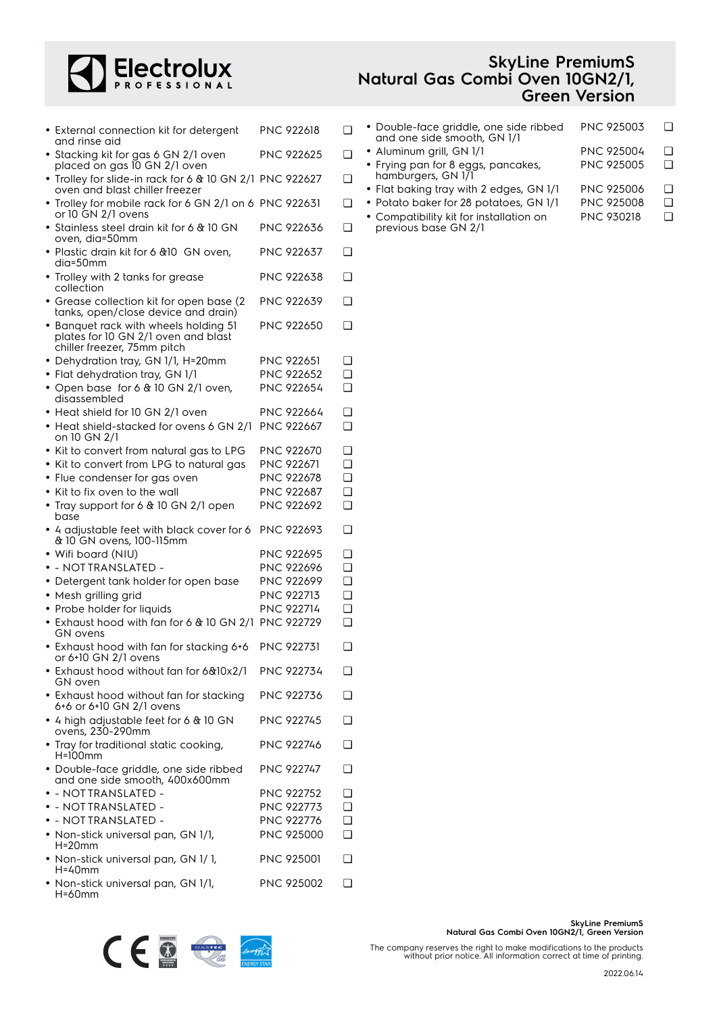

| • External connection kit for detergent<br>and rinse aid                                                    | PNC 922618        | ◻        |
|-------------------------------------------------------------------------------------------------------------|-------------------|----------|
| • Stacking kit for gas 6 GN 2/1 oven<br>placed on gas 10 GN 2/1 oven                                        | PNC 922625        | ◻        |
| • Trolley for slide-in rack for 6 & 10 GN 2/1 PNC 922627<br>oven and blast chiller freezer                  |                   | ◻        |
| • Trolley for mobile rack for 6 GN 2/1 on 6 PNC 922631<br>or 10 GN 2/1 ovens                                |                   | ❏        |
| • Stainless steel drain kit for 6 & 10 GN<br>oven, dia=50mm                                                 | PNC 922636        | ◻        |
| • Plastic drain kit for 6 & 10 GN oven.<br>dia=50mm                                                         | PNC 922637        | ◻        |
| • Trolley with 2 tanks for grease<br>collection                                                             | <b>PNC 922638</b> | <b>□</b> |
| • Grease collection kit for open base (2)<br>tanks, open/close device and drain)                            | PNC 922639        | ◻        |
| • Banquet rack with wheels holding 51<br>plates for 10 GN 2/1 oven and blast<br>chiller freezer, 75mm pitch | PNC 922650        | ◻        |
| • Dehydration tray, GN 1/1, H=20mm                                                                          | <b>PNC 922651</b> | ◻        |
| · Flat dehydration tray, GN 1/1                                                                             | <b>PNC 922652</b> | ∩        |
| • Open base for 6 & 10 GN 2/1 oven,                                                                         | <b>PNC 922654</b> | <b>□</b> |
| disassembled                                                                                                |                   |          |
| • Heat shield for 10 GN 2/1 oven                                                                            | PNC 922664        | ❏        |
| • Heat shield-stacked for ovens 6 GN 2/1<br>on 10 GN 2/1                                                    | PNC 922667        | $\Box$   |
| • Kit to convert from natural gas to LPG                                                                    | PNC 922670        | ◻        |
| • Kit to convert from LPG to natural gas                                                                    | PNC 922671        | ◻        |
| • Flue condenser for gas oven                                                                               | PNC 922678        | ❏        |
| $\bullet\,$ Kit to fix oven to the wall                                                                     | PNC 922687        | ◻        |
| • Tray support for 6 & 10 GN 2/1 open<br>base                                                               | PNC 922692        | ◻        |
| • 4 adjustable feet with black cover for 6<br>& 10 GN ovens, 100-115mm                                      | <b>PNC 922693</b> | ◻        |
| • Wifi board (NIU)                                                                                          | PNC 922695        | ❏        |
| • - NOTTRANSLATED -                                                                                         | <b>PNC 922696</b> | ❏        |
| • Detergent tank holder for open base                                                                       | PNC 922699        | ◻        |
| • Mesh grilling grid                                                                                        | PNC 922713        | ◻        |
| • Probe holder for liquids                                                                                  | PNC 922714        | ◻        |
| · Exhaust hood with fan for 6 & 10 GN 2/1 PNC 922729<br><b>GN</b> ovens                                     |                   | ◻        |
| · Exhaust hood with fan for stacking 6+6<br>or 6+10 GN 2/1 ovens                                            | PNC 922731        | ❏        |
| • Exhaust hood without fan for 6&10x2/1<br>GN oven                                                          | PNC 922734        | ◻        |
| • Exhaust hood without fan for stacking<br>6+6 or 6+10 GN 2/1 ovens                                         | <b>PNC 922736</b> | ❏        |
| • 4 high adjustable feet for 6 & 10 GN<br>ovens, 230-290mm                                                  | <b>PNC 922745</b> | ❏        |
| • Tray for traditional static cooking,<br>$H=100$ mm                                                        | <b>PNC 922746</b> | ❏        |
| · Double-face griddle, one side ribbed<br>and one side smooth, 400x600mm                                    | <b>PNC 922747</b> | ❏        |
| • - NOTTRANSLATED -                                                                                         | PNC 922752        | □        |
| $\bullet$ - NOTTRANSLATED -                                                                                 | PNC 922773        | ❏        |
| $\bullet$ - NOTTRANSLATED -                                                                                 | PNC 922776        | ◻        |
| • Non-stick universal pan, GN 1/1,                                                                          | PNC 925000        | ∩        |
| $H=20$ mm                                                                                                   |                   |          |
| • Non-stick universal pan, GN 1/1,<br>$H = 40$ mm                                                           | <b>PNC 925001</b> | ❏        |
| • Non-stick universal pan, GN 1/1,<br>$H = 60$ mm                                                           | <b>PNC 925002</b> | ◻        |

## **SkyLine PremiumS Natural Gas Combi Oven 10GN2/1, Green Version**

| <b>PNC 925003</b> | □ |
|-------------------|---|
| <b>PNC 925004</b> | □ |
| <b>PNC 925005</b> | □ |
| PNC 925006        | □ |
| <b>PNC 925008</b> |   |
| <b>PNC 930218</b> |   |
|                   |   |

**SkyLine PremiumS Natural Gas Combi Oven 10GN2/1, Green Version**